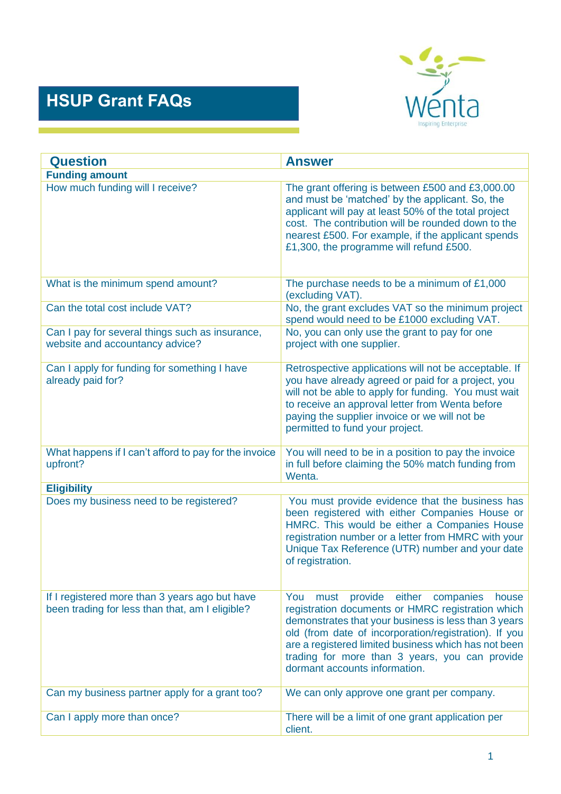## **HSUP Grant FAQs**



| <b>Question</b>                                                                                   | <b>Answer</b>                                                                                                                                                                                                                                                                                                                                                           |
|---------------------------------------------------------------------------------------------------|-------------------------------------------------------------------------------------------------------------------------------------------------------------------------------------------------------------------------------------------------------------------------------------------------------------------------------------------------------------------------|
| <b>Funding amount</b>                                                                             |                                                                                                                                                                                                                                                                                                                                                                         |
| How much funding will I receive?                                                                  | The grant offering is between £500 and £3,000.00<br>and must be 'matched' by the applicant. So, the<br>applicant will pay at least 50% of the total project<br>cost. The contribution will be rounded down to the<br>nearest £500. For example, if the applicant spends<br>£1,300, the programme will refund £500.                                                      |
| What is the minimum spend amount?                                                                 | The purchase needs to be a minimum of £1,000<br>(excluding VAT).                                                                                                                                                                                                                                                                                                        |
| Can the total cost include VAT?                                                                   | No, the grant excludes VAT so the minimum project<br>spend would need to be £1000 excluding VAT.                                                                                                                                                                                                                                                                        |
| Can I pay for several things such as insurance,<br>website and accountancy advice?                | No, you can only use the grant to pay for one<br>project with one supplier.                                                                                                                                                                                                                                                                                             |
| Can I apply for funding for something I have<br>already paid for?                                 | Retrospective applications will not be acceptable. If<br>you have already agreed or paid for a project, you<br>will not be able to apply for funding. You must wait<br>to receive an approval letter from Wenta before<br>paying the supplier invoice or we will not be<br>permitted to fund your project.                                                              |
| What happens if I can't afford to pay for the invoice<br>upfront?                                 | You will need to be in a position to pay the invoice<br>in full before claiming the 50% match funding from<br>Wenta.                                                                                                                                                                                                                                                    |
| <b>Eligibility</b>                                                                                |                                                                                                                                                                                                                                                                                                                                                                         |
| Does my business need to be registered?                                                           | You must provide evidence that the business has<br>been registered with either Companies House or<br>HMRC. This would be either a Companies House<br>registration number or a letter from HMRC with your<br>Unique Tax Reference (UTR) number and your date<br>of registration.                                                                                         |
| If I registered more than 3 years ago but have<br>been trading for less than that, am I eligible? | provide<br>You<br>either<br>companies<br>must<br>house<br>registration documents or HMRC registration which<br>demonstrates that your business is less than 3 years<br>old (from date of incorporation/registration). If you<br>are a registered limited business which has not been<br>trading for more than 3 years, you can provide<br>dormant accounts information. |
| Can my business partner apply for a grant too?                                                    | We can only approve one grant per company.                                                                                                                                                                                                                                                                                                                              |
| Can I apply more than once?                                                                       | There will be a limit of one grant application per<br>client.                                                                                                                                                                                                                                                                                                           |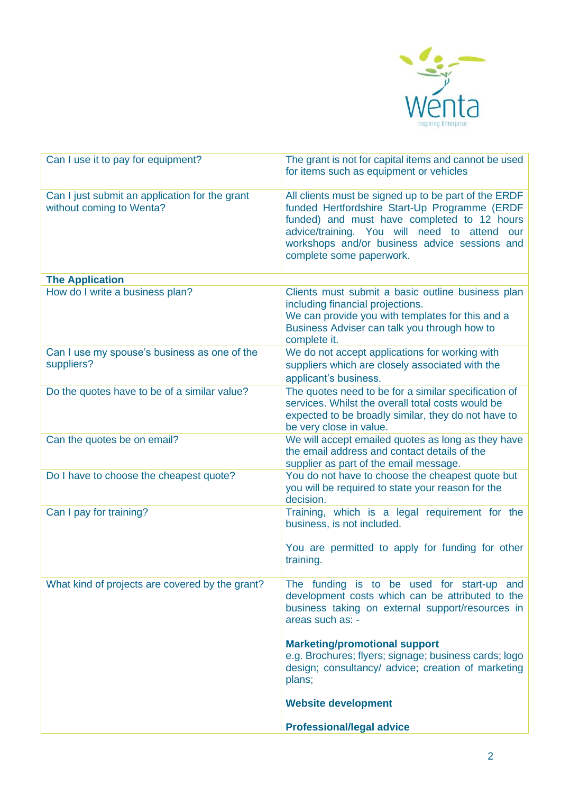

| Can I use it to pay for equipment?                                         | The grant is not for capital items and cannot be used<br>for items such as equipment or vehicles                                                                                                                                                                                  |
|----------------------------------------------------------------------------|-----------------------------------------------------------------------------------------------------------------------------------------------------------------------------------------------------------------------------------------------------------------------------------|
| Can I just submit an application for the grant<br>without coming to Wenta? | All clients must be signed up to be part of the ERDF<br>funded Hertfordshire Start-Up Programme (ERDF<br>funded) and must have completed to 12 hours<br>advice/training. You will need to attend our<br>workshops and/or business advice sessions and<br>complete some paperwork. |
| <b>The Application</b>                                                     |                                                                                                                                                                                                                                                                                   |
| How do I write a business plan?                                            | Clients must submit a basic outline business plan<br>including financial projections.<br>We can provide you with templates for this and a<br>Business Adviser can talk you through how to<br>complete it.                                                                         |
| Can I use my spouse's business as one of the<br>suppliers?                 | We do not accept applications for working with<br>suppliers which are closely associated with the<br>applicant's business.                                                                                                                                                        |
| Do the quotes have to be of a similar value?                               | The quotes need to be for a similar specification of<br>services. Whilst the overall total costs would be<br>expected to be broadly similar, they do not have to<br>be very close in value.                                                                                       |
| Can the quotes be on email?                                                | We will accept emailed quotes as long as they have<br>the email address and contact details of the<br>supplier as part of the email message.                                                                                                                                      |
| Do I have to choose the cheapest quote?                                    | You do not have to choose the cheapest quote but<br>you will be required to state your reason for the<br>decision.                                                                                                                                                                |
| Can I pay for training?                                                    | Training, which is a legal requirement for the<br>business, is not included.                                                                                                                                                                                                      |
|                                                                            | You are permitted to apply for funding for other<br>training.                                                                                                                                                                                                                     |
| What kind of projects are covered by the grant?                            | The funding is to be used for start-up and<br>development costs which can be attributed to the<br>business taking on external support/resources in<br>areas such as: -                                                                                                            |
|                                                                            | <b>Marketing/promotional support</b><br>e.g. Brochures; flyers; signage; business cards; logo<br>design; consultancy/ advice; creation of marketing<br>plans;                                                                                                                     |
|                                                                            | <b>Website development</b>                                                                                                                                                                                                                                                        |
|                                                                            | <b>Professional/legal advice</b>                                                                                                                                                                                                                                                  |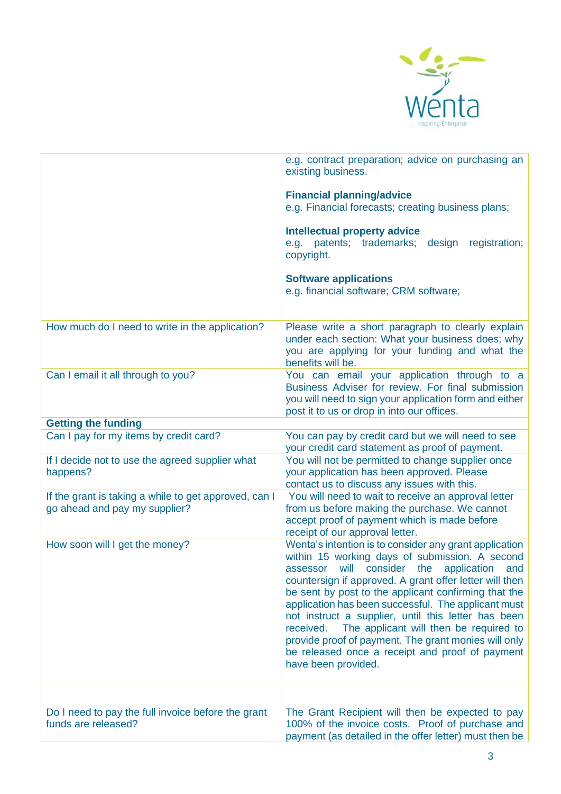

|                                                                                        | e.g. contract preparation; advice on purchasing an<br>existing business.<br><b>Financial planning/advice</b><br>e.g. Financial forecasts; creating business plans;<br><b>Intellectual property advice</b><br>patents; trademarks; design<br>registration;<br>e.g.<br>copyright.<br><b>Software applications</b><br>e.g. financial software; CRM software;                                                                                                                                                                                                                                 |
|----------------------------------------------------------------------------------------|-------------------------------------------------------------------------------------------------------------------------------------------------------------------------------------------------------------------------------------------------------------------------------------------------------------------------------------------------------------------------------------------------------------------------------------------------------------------------------------------------------------------------------------------------------------------------------------------|
| How much do I need to write in the application?                                        | Please write a short paragraph to clearly explain<br>under each section: What your business does; why<br>you are applying for your funding and what the<br>benefits will be.                                                                                                                                                                                                                                                                                                                                                                                                              |
| Can I email it all through to you?                                                     | You can email your application through to a<br>Business Adviser for review. For final submission<br>you will need to sign your application form and either<br>post it to us or drop in into our offices.                                                                                                                                                                                                                                                                                                                                                                                  |
| <b>Getting the funding</b>                                                             |                                                                                                                                                                                                                                                                                                                                                                                                                                                                                                                                                                                           |
| Can I pay for my items by credit card?                                                 | You can pay by credit card but we will need to see<br>your credit card statement as proof of payment.                                                                                                                                                                                                                                                                                                                                                                                                                                                                                     |
| If I decide not to use the agreed supplier what<br>happens?                            | You will not be permitted to change supplier once<br>your application has been approved. Please<br>contact us to discuss any issues with this.                                                                                                                                                                                                                                                                                                                                                                                                                                            |
| If the grant is taking a while to get approved, can I<br>go ahead and pay my supplier? | You will need to wait to receive an approval letter<br>from us before making the purchase. We cannot<br>accept proof of payment which is made before<br>receipt of our approval letter.                                                                                                                                                                                                                                                                                                                                                                                                   |
| How soon will I get the money?                                                         | Wenta's intention is to consider any grant application<br>within 15 working days of submission. A second<br>assessor will consider<br>the<br>application<br>and<br>countersign if approved. A grant offer letter will then<br>be sent by post to the applicant confirming that the<br>application has been successful. The applicant must<br>not instruct a supplier, until this letter has been<br>The applicant will then be required to<br>received.<br>provide proof of payment. The grant monies will only<br>be released once a receipt and proof of payment<br>have been provided. |
| Do I need to pay the full invoice before the grant<br>funds are released?              | The Grant Recipient will then be expected to pay<br>100% of the invoice costs. Proof of purchase and<br>payment (as detailed in the offer letter) must then be                                                                                                                                                                                                                                                                                                                                                                                                                            |